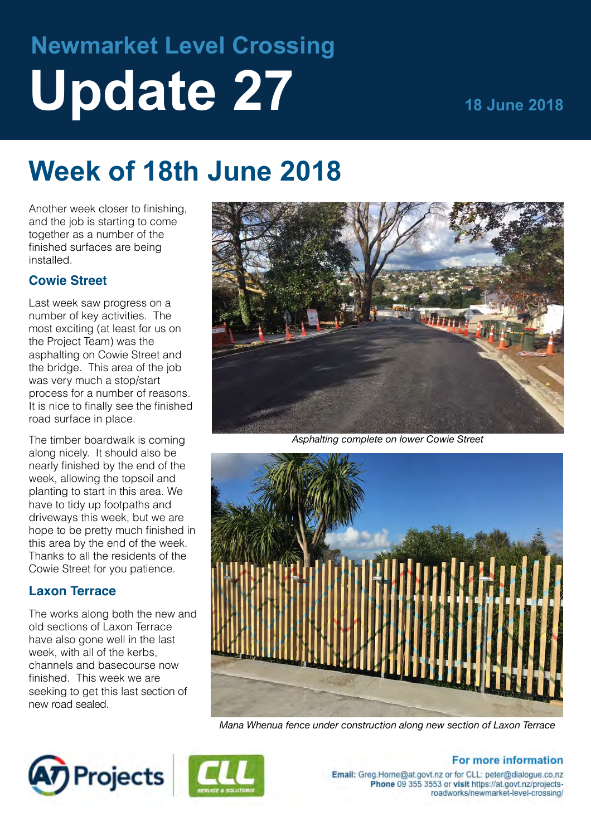# **Newmarket Level Crossing Update 27 18 June 2018**

## **Week of 18th June 2018**

Another week closer to finishing, and the job is starting to come together as a number of the finished surfaces are being installed.

## **Cowie Street**

Last week saw progress on a number of key activities. The most exciting (at least for us on the Project Team) was the asphalting on Cowie Street and the bridge. This area of the job was very much a stop/start process for a number of reasons. It is nice to finally see the finished road surface in place.

The timber boardwalk is coming along nicely. It should also be nearly finished by the end of the week, allowing the topsoil and planting to start in this area. We have to tidy up footpaths and driveways this week, but we are hope to be pretty much finished in this area by the end of the week. Thanks to all the residents of the Cowie Street for you patience.

## **Laxon Terrace**

The works along both the new and old sections of Laxon Terrace have also gone well in the last week, with all of the kerbs, channels and basecourse now finished. This week we are seeking to get this last section of new road sealed.



*Asphalting complete on lower Cowie Street*



*Mana Whenua fence under construction along new section of Laxon Terrace*





## For more information

Email: Greg.Horne@at.govt.nz or for CLL: peter@dialogue.co.nz Phone 09 355 3553 or visit https://at.govt.nz/projectsroadworks/newmarket-level-crossing/